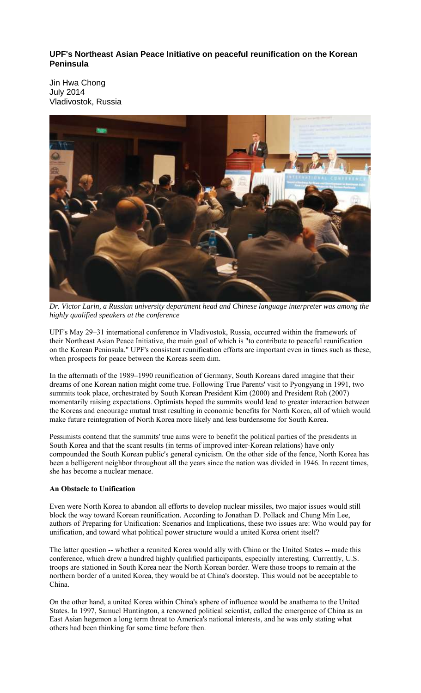**UPF's Northeast Asian Peace Initiative on peaceful reunification on the Korean Peninsula** 

Jin Hwa Chong July 2014 Vladivostok, Russia



*Dr. Victor Larin, a Russian university department head and Chinese language interpreter was among the highly qualified speakers at the conference* 

UPF's May 29–31 international conference in Vladivostok, Russia, occurred within the framework of their Northeast Asian Peace Initiative, the main goal of which is "to contribute to peaceful reunification on the Korean Peninsula." UPF's consistent reunification efforts are important even in times such as these, when prospects for peace between the Koreas seem dim.

In the aftermath of the 1989–1990 reunification of Germany, South Koreans dared imagine that their dreams of one Korean nation might come true. Following True Parents' visit to Pyongyang in 1991, two summits took place, orchestrated by South Korean President Kim (2000) and President Roh (2007) momentarily raising expectations. Optimists hoped the summits would lead to greater interaction between the Koreas and encourage mutual trust resulting in economic benefits for North Korea, all of which would make future reintegration of North Korea more likely and less burdensome for South Korea.

Pessimists contend that the summits' true aims were to benefit the political parties of the presidents in South Korea and that the scant results (in terms of improved inter-Korean relations) have only compounded the South Korean public's general cynicism. On the other side of the fence, North Korea has been a belligerent neighbor throughout all the years since the nation was divided in 1946. In recent times, she has become a nuclear menace.

## **An Obstacle to Unification**

Even were North Korea to abandon all efforts to develop nuclear missiles, two major issues would still block the way toward Korean reunification. According to Jonathan D. Pollack and Chung Min Lee, authors of Preparing for Unification: Scenarios and Implications, these two issues are: Who would pay for unification, and toward what political power structure would a united Korea orient itself?

The latter question -- whether a reunited Korea would ally with China or the United States -- made this conference, which drew a hundred highly qualified participants, especially interesting. Currently, U.S. troops are stationed in South Korea near the North Korean border. Were those troops to remain at the northern border of a united Korea, they would be at China's doorstep. This would not be acceptable to China.

On the other hand, a united Korea within China's sphere of influence would be anathema to the United States. In 1997, Samuel Huntington, a renowned political scientist, called the emergence of China as an East Asian hegemon a long term threat to America's national interests, and he was only stating what others had been thinking for some time before then.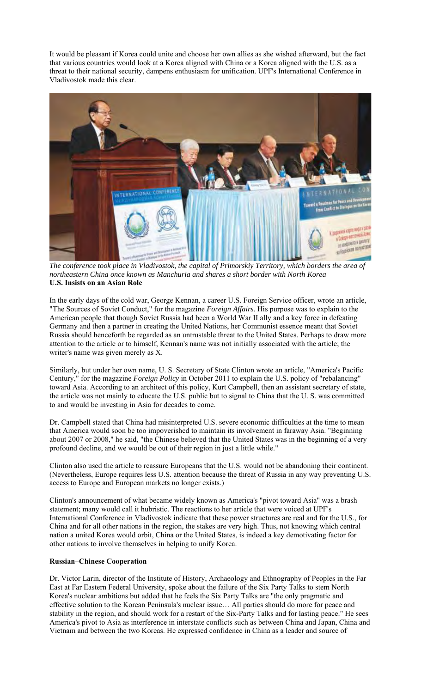It would be pleasant if Korea could unite and choose her own allies as she wished afterward, but the fact that various countries would look at a Korea aligned with China or a Korea aligned with the U.S. as a threat to their national security, dampens enthusiasm for unification. UPF's International Conference in Vladivostok made this clear.



*The conference took place in Vladivostok, the capital of Primorskiy Territory, which borders the area of northeastern China once known as Manchuria and shares a short border with North Korea*  **U.S. Insists on an Asian Role** 

In the early days of the cold war, George Kennan, a career U.S. Foreign Service officer, wrote an article, "The Sources of Soviet Conduct," for the magazine *Foreign Affairs*. His purpose was to explain to the American people that though Soviet Russia had been a World War II ally and a key force in defeating Germany and then a partner in creating the United Nations, her Communist essence meant that Soviet Russia should henceforth be regarded as an untrustable threat to the United States. Perhaps to draw more attention to the article or to himself, Kennan's name was not initially associated with the article; the writer's name was given merely as X.

Similarly, but under her own name, U. S. Secretary of State Clinton wrote an article, "America's Pacific Century," for the magazine *Foreign Policy* in October 2011 to explain the U.S. policy of "rebalancing" toward Asia. According to an architect of this policy, Kurt Campbell, then an assistant secretary of state, the article was not mainly to educate the U.S. public but to signal to China that the U. S. was committed to and would be investing in Asia for decades to come.

Dr. Campbell stated that China had misinterpreted U.S. severe economic difficulties at the time to mean that America would soon be too impoverished to maintain its involvement in faraway Asia. "Beginning about 2007 or 2008," he said, "the Chinese believed that the United States was in the beginning of a very profound decline, and we would be out of their region in just a little while."

Clinton also used the article to reassure Europeans that the U.S. would not be abandoning their continent. (Nevertheless, Europe requires less U.S. attention because the threat of Russia in any way preventing U.S. access to Europe and European markets no longer exists.)

Clinton's announcement of what became widely known as America's "pivot toward Asia" was a brash statement; many would call it hubristic. The reactions to her article that were voiced at UPF's International Conference in Vladivostok indicate that these power structures are real and for the U.S., for China and for all other nations in the region, the stakes are very high. Thus, not knowing which central nation a united Korea would orbit, China or the United States, is indeed a key demotivating factor for other nations to involve themselves in helping to unify Korea.

## **Russian–Chinese Cooperation**

Dr. Victor Larin, director of the Institute of History, Archaeology and Ethnography of Peoples in the Far East at Far Eastern Federal University, spoke about the failure of the Six Party Talks to stem North Korea's nuclear ambitions but added that he feels the Six Party Talks are "the only pragmatic and effective solution to the Korean Peninsula's nuclear issue… All parties should do more for peace and stability in the region, and should work for a restart of the Six-Party Talks and for lasting peace." He sees America's pivot to Asia as interference in interstate conflicts such as between China and Japan, China and Vietnam and between the two Koreas. He expressed confidence in China as a leader and source of